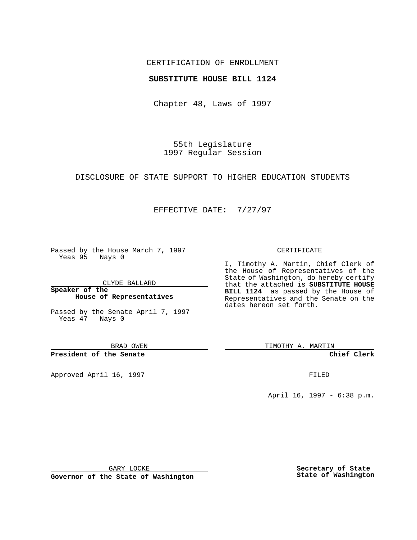## CERTIFICATION OF ENROLLMENT

## **SUBSTITUTE HOUSE BILL 1124**

Chapter 48, Laws of 1997

55th Legislature 1997 Regular Session

DISCLOSURE OF STATE SUPPORT TO HIGHER EDUCATION STUDENTS

## EFFECTIVE DATE: 7/27/97

Passed by the House March 7, 1997 Yeas 95 Nays 0

CLYDE BALLARD

**Speaker of the House of Representatives**

Passed by the Senate April 7, 1997 Yeas 47 Nays 0

BRAD OWEN

**President of the Senate**

Approved April 16, 1997 **FILED** 

### CERTIFICATE

I, Timothy A. Martin, Chief Clerk of the House of Representatives of the State of Washington, do hereby certify that the attached is **SUBSTITUTE HOUSE BILL 1124** as passed by the House of Representatives and the Senate on the dates hereon set forth.

TIMOTHY A. MARTIN

**Chief Clerk**

April 16, 1997 - 6:38 p.m.

GARY LOCKE

**Governor of the State of Washington**

**Secretary of State State of Washington**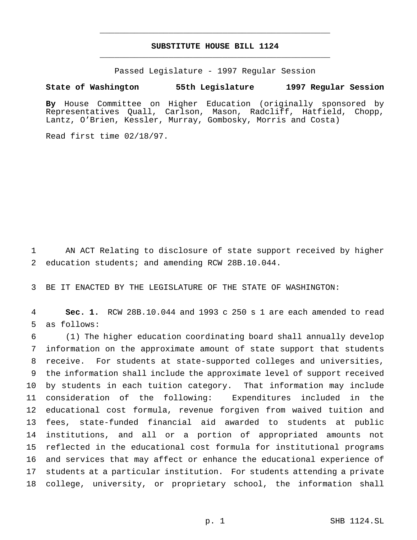# **SUBSTITUTE HOUSE BILL 1124** \_\_\_\_\_\_\_\_\_\_\_\_\_\_\_\_\_\_\_\_\_\_\_\_\_\_\_\_\_\_\_\_\_\_\_\_\_\_\_\_\_\_\_\_\_\_\_

\_\_\_\_\_\_\_\_\_\_\_\_\_\_\_\_\_\_\_\_\_\_\_\_\_\_\_\_\_\_\_\_\_\_\_\_\_\_\_\_\_\_\_\_\_\_\_

Passed Legislature - 1997 Regular Session

#### **State of Washington 55th Legislature 1997 Regular Session**

**By** House Committee on Higher Education (originally sponsored by Representatives Quall, Carlson, Mason, Radcliff, Hatfield, Chopp, Lantz, O'Brien, Kessler, Murray, Gombosky, Morris and Costa)

Read first time 02/18/97.

 AN ACT Relating to disclosure of state support received by higher education students; and amending RCW 28B.10.044.

BE IT ENACTED BY THE LEGISLATURE OF THE STATE OF WASHINGTON:

 **Sec. 1.** RCW 28B.10.044 and 1993 c 250 s 1 are each amended to read as follows:

 (1) The higher education coordinating board shall annually develop information on the approximate amount of state support that students receive. For students at state-supported colleges and universities, the information shall include the approximate level of support received by students in each tuition category. That information may include consideration of the following: Expenditures included in the educational cost formula, revenue forgiven from waived tuition and fees, state-funded financial aid awarded to students at public institutions, and all or a portion of appropriated amounts not reflected in the educational cost formula for institutional programs and services that may affect or enhance the educational experience of students at a particular institution. For students attending a private college, university, or proprietary school, the information shall